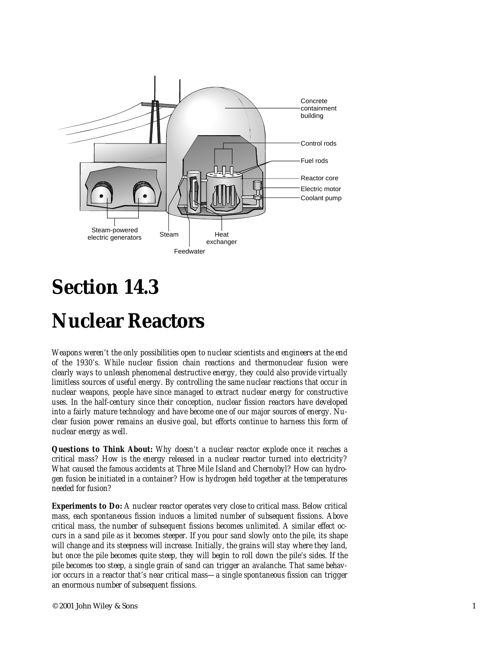

# **Section 14.3**

# **Nuclear Reactors**

*Weapons weren't the only possibilities open to nuclear scientists and engineers at the end of the 1930's. While nuclear fission chain reactions and thermonuclear fusion were clearly ways to unleash phenomenal destructive energy, they could also provide virtually limitless sources of useful energy. By controlling the same nuclear reactions that occur in nuclear weapons, people have since managed to extract nuclear energy for constructive uses. In the half-century since their conception, nuclear fission reactors have developed into a fairly mature technology and have become one of our major sources of energy. Nuclear fusion power remains an elusive goal, but efforts continue to harness this form of nuclear energy as well.* 

*Questions to Think About: Why doesn't a nuclear reactor explode once it reaches a critical mass? How is the energy released in a nuclear reactor turned into electricity? What caused the famous accidents at Three Mile Island and Chernobyl? How can hydrogen fusion be initiated in a container? How is hydrogen held together at the temperatures needed for fusion?* 

*Experiments to Do: A nuclear reactor operates very close to critical mass. Below critical mass, each spontaneous fission induces a limited number of subsequent fissions. Above critical mass, the number of subsequent fissions becomes unlimited. A similar effect occurs in a sand pile as it becomes steeper. If you pour sand slowly onto the pile, its shape will change and its steepness will increase. Initially, the grains will stay where they land, but once the pile becomes quite steep, they will begin to roll down the pile's sides. If the pile becomes too steep, a single grain of sand can trigger an avalanche. That same behavior occurs in a reactor that's near critical mass—a single spontaneous fission can trigger an enormous number of subsequent fissions.*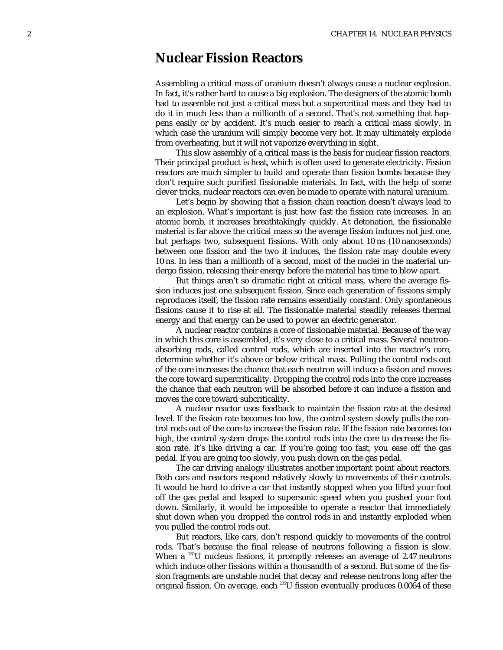## **Nuclear Fission Reactors**

Assembling a critical mass of uranium doesn't always cause a nuclear explosion. In fact, it's rather hard to cause a big explosion. The designers of the atomic bomb had to assemble not just a critical mass but a supercritical mass and they had to do it in much less than a millionth of a second. That's not something that happens easily or by accident. It's much easier to reach a critical mass slowly, in which case the uranium will simply become very hot. It may ultimately explode from overheating, but it will not vaporize everything in sight.

This slow assembly of a critical mass is the basis for nuclear fission reactors. Their principal product is heat, which is often used to generate electricity. Fission reactors are much simpler to build and operate than fission bombs because they don't require such purified fissionable materials. In fact, with the help of some clever tricks, nuclear reactors can even be made to operate with natural uranium.

Let's begin by showing that a fission chain reaction doesn't always lead to an explosion. What's important is just how fast the fission rate increases. In an atomic bomb, it increases breathtakingly quickly. At detonation, the fissionable material is far above the critical mass so the average fission induces not just one, but perhaps two, subsequent fissions. With only about 10 ns (10 nanoseconds) between one fission and the two it induces, the fission rate may double every 10 ns. In less than a millionth of a second, most of the nuclei in the material undergo fission, releasing their energy before the material has time to blow apart.

But things aren't so dramatic right at critical mass, where the average fission induces just one subsequent fission. Since each generation of fissions simply reproduces itself, the fission rate remains essentially constant. Only spontaneous fissions cause it to rise at all. The fissionable material steadily releases thermal energy and that energy can be used to power an electric generator.

A nuclear reactor contains a core of fissionable material. Because of the way in which this core is assembled, it's very close to a critical mass. Several neutronabsorbing rods, called control rods, which are inserted into the reactor's core, determine whether it's above or below critical mass. Pulling the control rods out of the core increases the chance that each neutron will induce a fission and moves the core toward supercriticality. Dropping the control rods into the core increases the chance that each neutron will be absorbed before it can induce a fission and moves the core toward subcriticality.

A nuclear reactor uses feedback to maintain the fission rate at the desired level. If the fission rate becomes too low, the control system slowly pulls the control rods out of the core to increase the fission rate. If the fission rate becomes too high, the control system drops the control rods into the core to decrease the fission rate. It's like driving a car. If you're going too fast, you ease off the gas pedal. If you are going too slowly, you push down on the gas pedal.

The car driving analogy illustrates another important point about reactors. Both cars and reactors respond relatively slowly to movements of their controls. It would be hard to drive a car that instantly stopped when you lifted your foot off the gas pedal and leaped to supersonic speed when you pushed your foot down. Similarly, it would be impossible to operate a reactor that immediately shut down when you dropped the control rods in and instantly exploded when you pulled the control rods out.

But reactors, like cars, don't respond quickly to movements of the control rods. That's because the final release of neutrons following a fission is slow. When a <sup>235</sup>U nucleus fissions, it promptly releases an average of 2.47 neutrons which induce other fissions within a thousandth of a second. But some of the fission fragments are unstable nuclei that decay and release neutrons long after the original fission. On average, each <sup>235</sup>U fission eventually produces 0.0064 of these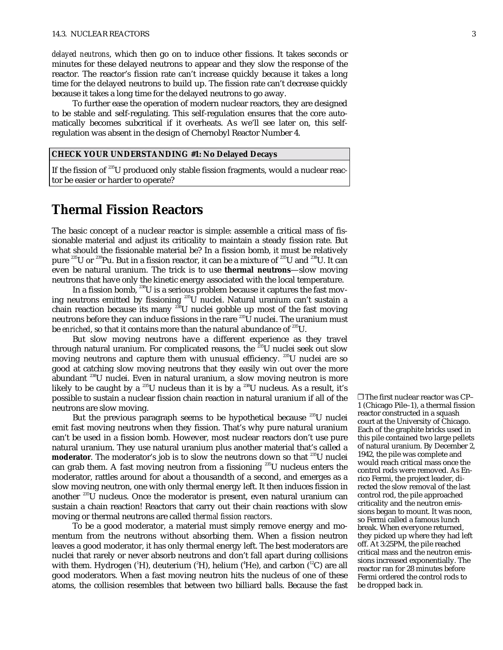*delayed neutrons*, which then go on to induce other fissions. It takes seconds or minutes for these delayed neutrons to appear and they slow the response of the reactor. The reactor's fission rate can't increase quickly because it takes a long time for the delayed neutrons to build up. The fission rate can't decrease quickly because it takes a long time for the delayed neutrons to go away.

To further ease the operation of modern nuclear reactors, they are designed to be stable and self-regulating. This self-regulation ensures that the core automatically becomes subcritical if it overheats. As we'll see later on, this selfregulation was absent in the design of Chernobyl Reactor Number 4.

## **CHECK YOUR UNDERSTANDING #1: No Delayed Decays**

If the fission of  $^{235}U$  produced only stable fission fragments, would a nuclear reactor be easier or harder to operate?

## **Thermal Fission Reactors**

The basic concept of a nuclear reactor is simple: assemble a critical mass of fissionable material and adjust its criticality to maintain a steady fission rate. But what should the fissionable material be? In a fission bomb, it must be relatively pure  $^{235}$ U or  $^{239}$ Pu. But in a fission reactor, it can be a mixture of  $^{235}$ U and  $^{238}$ U. It can even be natural uranium. The trick is to use **thermal neutrons**—slow moving neutrons that have only the kinetic energy associated with the local temperature.

In a fission bomb,  $^{238}U$  is a serious problem because it captures the fast moving neutrons emitted by fissioning  $^{235}$ U nuclei. Natural uranium can't sustain a chain reaction because its many  $^{238}$ U nuclei gobble up most of the fast moving neutrons before they can induce fissions in the rare <sup>235</sup>U nuclei. The uranium must be *enriched*, so that it contains more than the natural abundance of <sup>235</sup>U.

But slow moving neutrons have a different experience as they travel through natural uranium. For complicated reasons, the  $^{235}$ U nuclei seek out slow moving neutrons and capture them with unusual efficiency. <sup>235</sup>U nuclei are so good at catching slow moving neutrons that they easily win out over the more abundant <sup>238</sup>U nuclei. Even in natural uranium, a slow moving neutron is more likely to be caught by a  $^{235}U$  nucleus than it is by a  $^{238}U$  nucleus. As a result, it's possible to sustain a nuclear fission chain reaction in natural uranium if all of the neutrons are slow moving.

But the previous paragraph seems to be hypothetical because  $^{235}$ U nuclei emit fast moving neutrons when they fission. That's why pure natural uranium can't be used in a fission bomb. However, most nuclear reactors don't use pure natural uranium. They use natural uranium plus another material that's called a **moderator**. The moderator's job is to slow the neutrons down so that <sup>235</sup>U nuclei can grab them. A fast moving neutron from a fissioning  $^{235}$ U nucleus enters the moderator, rattles around for about a thousandth of a second, and emerges as a slow moving neutron, one with only thermal energy left. It then induces fission in another  $^{235}$ U nucleus. Once the moderator is present, even natural uranium can sustain a chain reaction! Reactors that carry out their chain reactions with slow moving or thermal neutrons are called *thermal fission reactors*.

To be a good moderator, a material must simply remove energy and momentum from the neutrons without absorbing them. When a fission neutron leaves a good moderator, it has only thermal energy left. The best moderators are nuclei that rarely or never absorb neutrons and don't fall apart during collisions with them. Hydrogen ( $^1$ H), deuterium ( $^2$ H), helium ( $^4$ He), and carbon ( $^{12}$ C) are all good moderators. When a fast moving neutron hits the nucleus of one of these atoms, the collision resembles that between two billiard balls. Because the fast

❐ The first nuclear reactor was CP– 1 (Chicago Pile–1), a thermal fission reactor constructed in a squash court at the University of Chicago. Each of the graphite bricks used in this pile contained two large pellets of natural uranium. By December 2, 1942, the pile was complete and would reach critical mass once the control rods were removed. As Enrico Fermi, the project leader, directed the slow removal of the last control rod, the pile approached criticality and the neutron emissions began to mount. It was noon, so Fermi called a famous lunch break. When everyone returned, they picked up where they had left off. At 3:25PM, the pile reached critical mass and the neutron emissions increased exponentially. The reactor ran for 28 minutes before Fermi ordered the control rods to be dropped back in.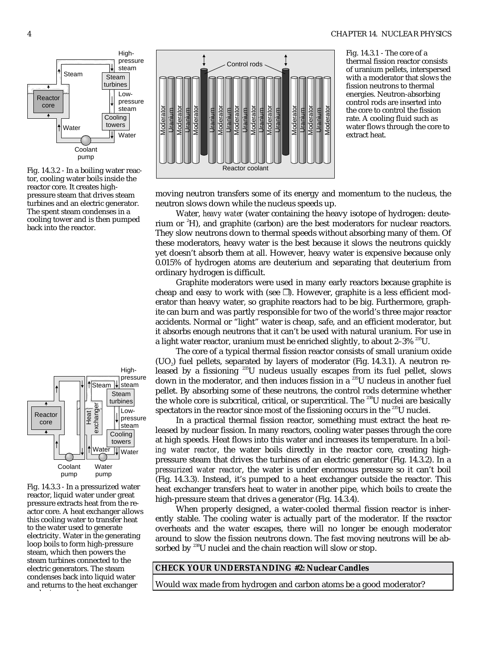

Fig. 14.3.2 - In a boiling water reactor, cooling water boils inside the reactor core. It creates highpressure steam that drives steam turbines and an electric generator. The spent steam condenses in a cooling tower and is then pumped back into the reactor.



Fig. 14.3.3 - In a pressurized water reactor, liquid water under great pressure extracts heat from the reactor core. A heat exchanger allows this cooling water to transfer heat to the water used to generate electricity. Water in the generating loop boils to form high-pressure steam, which then powers the steam turbines connected to the electric generators. The steam condenses back into liquid water and returns to the heat exchanger

bi h



#### 4 CHAPTER 14. NUCLEAR PHYSICS

Fig. 14.3.1 - The core of a thermal fission reactor consists of uranium pellets, interspersed with a moderator that slows the fission neutrons to thermal energies. Neutron-absorbing control rods are inserted into the core to control the fission rate. A cooling fluid such as water flows through the core to extract heat.

moving neutron transfers some of its energy and momentum to the nucleus, the neutron slows down while the nucleus speeds up.

Water, *heavy water* (water containing the heavy isotope of hydrogen: deuterium or <sup>2</sup>H), and graphite (carbon) are the best moderators for nuclear reactors. They slow neutrons down to thermal speeds without absorbing many of them. Of these moderators, heavy water is the best because it slows the neutrons quickly yet doesn't absorb them at all. However, heavy water is expensive because only 0.015% of hydrogen atoms are deuterium and separating that deuterium from ordinary hydrogen is difficult.

Graphite moderators were used in many early reactors because graphite is cheap and easy to work with (see  $\Box$ ). However, graphite is a less efficient moderator than heavy water, so graphite reactors had to be big. Furthermore, graphite can burn and was partly responsible for two of the world's three major reactor accidents. Normal or "light" water is cheap, safe, and an efficient moderator, but it absorbs enough neutrons that it can't be used with natural uranium. For use in a light water reactor, uranium must be enriched slightly, to about  $2-3\%$  <sup>235</sup>U.

The core of a typical thermal fission reactor consists of small uranium oxide (UO<sub>2</sub>) fuel pellets, separated by layers of moderator (Fig. 14.3.1). A neutron released by a fissioning 235U nucleus usually escapes from its fuel pellet, slows down in the moderator, and then induces fission in a <sup>235</sup>U nucleus in another fuel pellet. By absorbing some of these neutrons, the control rods determine whether the whole core is subcritical, critical, or supercritical. The  $^{238}$ U nuclei are basically spectators in the reactor since most of the fissioning occurs in the <sup>235</sup>U nuclei.

In a practical thermal fission reactor, something must extract the heat released by nuclear fission. In many reactors, cooling water passes through the core at high speeds. Heat flows into this water and increases its temperature. In a *boiling water reactor*, the water boils directly in the reactor core, creating highpressure steam that drives the turbines of an electric generator (Fig. 14.3.2). In a *pressurized water reactor*, the water is under enormous pressure so it can't boil (Fig. 14.3.3). Instead, it's pumped to a heat exchanger outside the reactor. This heat exchanger transfers heat to water in another pipe, which boils to create the high-pressure steam that drives a generator (Fig. 14.3.4). and the content of the set of the set of the lead the content of the set of the set of the set of the set of the particle of the particle of the particle of the particle of the particle speed and the much was down while t

When properly designed, a water-cooled thermal fission reactor is inherently stable. The cooling water is actually part of the moderator. If the reactor overheats and the water escapes, there will no longer be enough moderator around to slow the fission neutrons down. The fast moving neutrons will be absorbed by <sup>238</sup>U nuclei and the chain reaction will slow or stop.

## **CHECK YOUR UNDERSTANDING #2: Nuclear Candles**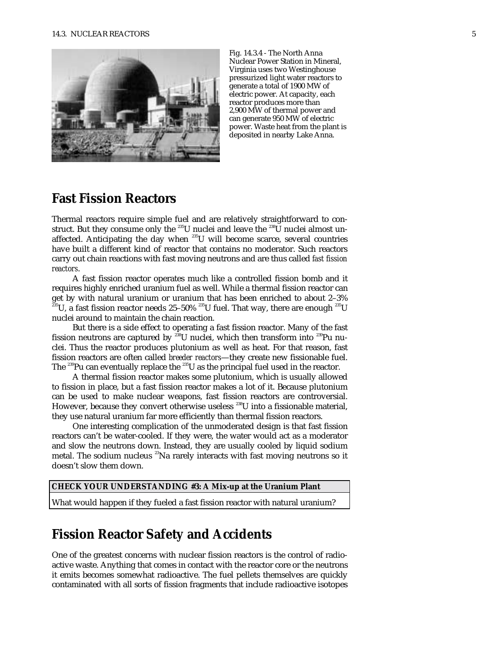

Fig. 14.3.4 - The North Anna Nuclear Power Station in Mineral, Virginia uses two Westinghouse pressurized light water reactors to generate a total of 1900 MW of electric power. At capacity, each reactor produces more than 2,900 MW of thermal power and can generate 950 MW of electric power. Waste heat from the plant is deposited in nearby Lake Anna.

## **Fast Fission Reactors**

Thermal reactors require simple fuel and are relatively straightforward to construct. But they consume only the  $^{235}$ U nuclei and leave the  $^{238}$ U nuclei almost unaffected. Anticipating the day when 235U will become scarce, several countries have built a different kind of reactor that contains no moderator. Such reactors carry out chain reactions with fast moving neutrons and are thus called *fast fission reactors*.

A fast fission reactor operates much like a controlled fission bomb and it requires highly enriched uranium fuel as well. While a thermal fission reactor can get by with natural uranium or uranium that has been enriched to about 2–3% <sup>235</sup>U, a fast fission reactor needs 25–50% <sup>235</sup>U fuel. That way, there are enough <sup>235</sup>U nuclei around to maintain the chain reaction.

But there is a side effect to operating a fast fission reactor. Many of the fast fission neutrons are captured by  $238$ U nuclei, which then transform into  $239$ Pu nuclei. Thus the reactor produces plutonium as well as heat. For that reason, fast fission reactors are often called *breeder reactors*—they create new fissionable fuel. The  $^{239}$ Pu can eventually replace the  $^{235}$ U as the principal fuel used in the reactor.

A thermal fission reactor makes some plutonium, which is usually allowed to fission in place, but a fast fission reactor makes a lot of it. Because plutonium can be used to make nuclear weapons, fast fission reactors are controversial. However, because they convert otherwise useless <sup>238</sup>U into a fissionable material, they use natural uranium far more efficiently than thermal fission reactors.

One interesting complication of the unmoderated design is that fast fission reactors can't be water-cooled. If they were, the water would act as a moderator and slow the neutrons down. Instead, they are usually cooled by liquid sodium metal. The sodium nucleus <sup>23</sup>Na rarely interacts with fast moving neutrons so it doesn't slow them down.

#### **CHECK YOUR UNDERSTANDING #3: A Mix-up at the Uranium Plant**

What would happen if they fueled a fast fission reactor with natural uranium?

## **Fission Reactor Safety and Accidents**

One of the greatest concerns with nuclear fission reactors is the control of radioactive waste. Anything that comes in contact with the reactor core or the neutrons it emits becomes somewhat radioactive. The fuel pellets themselves are quickly contaminated with all sorts of fission fragments that include radioactive isotopes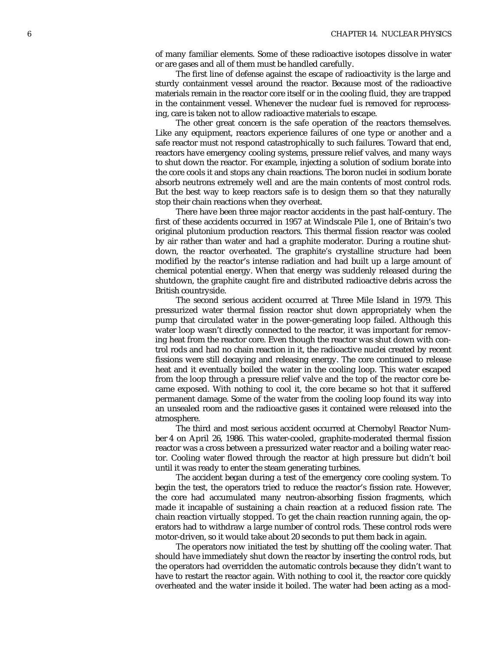of many familiar elements. Some of these radioactive isotopes dissolve in water or are gases and all of them must be handled carefully.

The first line of defense against the escape of radioactivity is the large and sturdy containment vessel around the reactor. Because most of the radioactive materials remain in the reactor core itself or in the cooling fluid, they are trapped in the containment vessel. Whenever the nuclear fuel is removed for reprocessing, care is taken not to allow radioactive materials to escape.

The other great concern is the safe operation of the reactors themselves. Like any equipment, reactors experience failures of one type or another and a safe reactor must not respond catastrophically to such failures. Toward that end, reactors have emergency cooling systems, pressure relief valves, and many ways to shut down the reactor. For example, injecting a solution of sodium borate into the core cools it and stops any chain reactions. The boron nuclei in sodium borate absorb neutrons extremely well and are the main contents of most control rods. But the best way to keep reactors safe is to design them so that they naturally stop their chain reactions when they overheat.

There have been three major reactor accidents in the past half-century. The first of these accidents occurred in 1957 at Windscale Pile 1, one of Britain's two original plutonium production reactors. This thermal fission reactor was cooled by air rather than water and had a graphite moderator. During a routine shutdown, the reactor overheated. The graphite's crystalline structure had been modified by the reactor's intense radiation and had built up a large amount of chemical potential energy. When that energy was suddenly released during the shutdown, the graphite caught fire and distributed radioactive debris across the British countryside.

The second serious accident occurred at Three Mile Island in 1979. This pressurized water thermal fission reactor shut down appropriately when the pump that circulated water in the power-generating loop failed. Although this water loop wasn't directly connected to the reactor, it was important for removing heat from the reactor core. Even though the reactor was shut down with control rods and had no chain reaction in it, the radioactive nuclei created by recent fissions were still decaying and releasing energy. The core continued to release heat and it eventually boiled the water in the cooling loop. This water escaped from the loop through a pressure relief valve and the top of the reactor core became exposed. With nothing to cool it, the core became so hot that it suffered permanent damage. Some of the water from the cooling loop found its way into an unsealed room and the radioactive gases it contained were released into the atmosphere.

The third and most serious accident occurred at Chernobyl Reactor Number 4 on April 26, 1986. This water-cooled, graphite-moderated thermal fission reactor was a cross between a pressurized water reactor and a boiling water reactor. Cooling water flowed through the reactor at high pressure but didn't boil until it was ready to enter the steam generating turbines.

The accident began during a test of the emergency core cooling system. To begin the test, the operators tried to reduce the reactor's fission rate. However, the core had accumulated many neutron-absorbing fission fragments, which made it incapable of sustaining a chain reaction at a reduced fission rate. The chain reaction virtually stopped. To get the chain reaction running again, the operators had to withdraw a large number of control rods. These control rods were motor-driven, so it would take about 20 seconds to put them back in again.

The operators now initiated the test by shutting off the cooling water. That should have immediately shut down the reactor by inserting the control rods, but the operators had overridden the automatic controls because they didn't want to have to restart the reactor again. With nothing to cool it, the reactor core quickly overheated and the water inside it boiled. The water had been acting as a mod-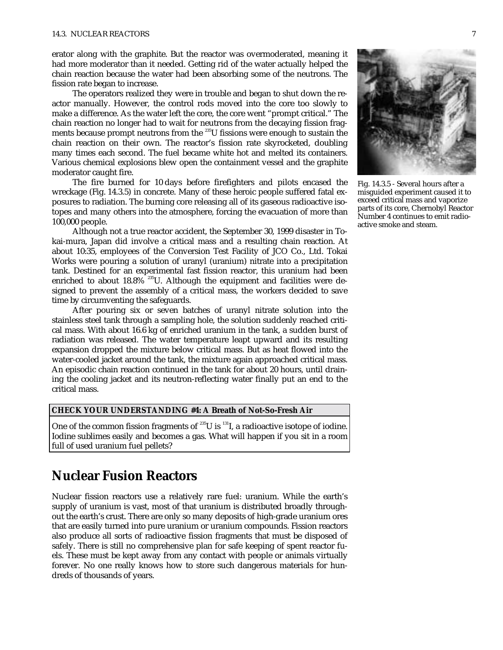erator along with the graphite. But the reactor was overmoderated, meaning it had more moderator than it needed. Getting rid of the water actually helped the chain reaction because the water had been absorbing some of the neutrons. The fission rate began to increase.

The operators realized they were in trouble and began to shut down the reactor manually. However, the control rods moved into the core too slowly to make a difference. As the water left the core, the core went "prompt critical." The chain reaction no longer had to wait for neutrons from the decaying fission fragments because prompt neutrons from the <sup>235</sup>U fissions were enough to sustain the chain reaction on their own. The reactor's fission rate skyrocketed, doubling many times each second. The fuel became white hot and melted its containers. Various chemical explosions blew open the containment vessel and the graphite moderator caught fire.

The fire burned for 10 days before firefighters and pilots encased the wreckage (Fig. 14.3.5) in concrete. Many of these heroic people suffered fatal exposures to radiation. The burning core releasing all of its gaseous radioactive isotopes and many others into the atmosphere, forcing the evacuation of more than 100,000 people.

Although not a true reactor accident, the September 30, 1999 disaster in Tokai-mura, Japan did involve a critical mass and a resulting chain reaction. At about 10:35, employees of the Conversion Test Facility of JCO Co., Ltd. Tokai Works were pouring a solution of uranyl (uranium) nitrate into a precipitation tank. Destined for an experimental fast fission reactor, this uranium had been enriched to about  $18.8\%$ <sup>235</sup>U. Although the equipment and facilities were designed to prevent the assembly of a critical mass, the workers decided to save time by circumventing the safeguards.

After pouring six or seven batches of uranyl nitrate solution into the stainless steel tank through a sampling hole, the solution suddenly reached critical mass. With about 16.6 kg of enriched uranium in the tank, a sudden burst of radiation was released. The water temperature leapt upward and its resulting expansion dropped the mixture below critical mass. But as heat flowed into the water-cooled jacket around the tank, the mixture again approached critical mass. An episodic chain reaction continued in the tank for about 20 hours, until draining the cooling jacket and its neutron-reflecting water finally put an end to the critical mass.

### **CHECK YOUR UNDERSTANDING #4: A Breath of Not-So-Fresh Air**

One of the common fission fragments of  $^{235}U$  is  $^{131}I$ , a radioactive isotope of iodine. Iodine sublimes easily and becomes a gas. What will happen if you sit in a room full of used uranium fuel pellets?

## **Nuclear Fusion Reactors**

Nuclear fission reactors use a relatively rare fuel: uranium. While the earth's supply of uranium is vast, most of that uranium is distributed broadly throughout the earth's crust. There are only so many deposits of high-grade uranium ores that are easily turned into pure uranium or uranium compounds. Fission reactors also produce all sorts of radioactive fission fragments that must be disposed of safely. There is still no comprehensive plan for safe keeping of spent reactor fuels. These must be kept away from any contact with people or animals virtually forever. No one really knows how to store such dangerous materials for hundreds of thousands of years.



Fig. 14.3.5 - Several hours after a misguided experiment caused it to exceed critical mass and vaporize parts of its core, Chernobyl Reactor Number 4 continues to emit radioactive smoke and steam.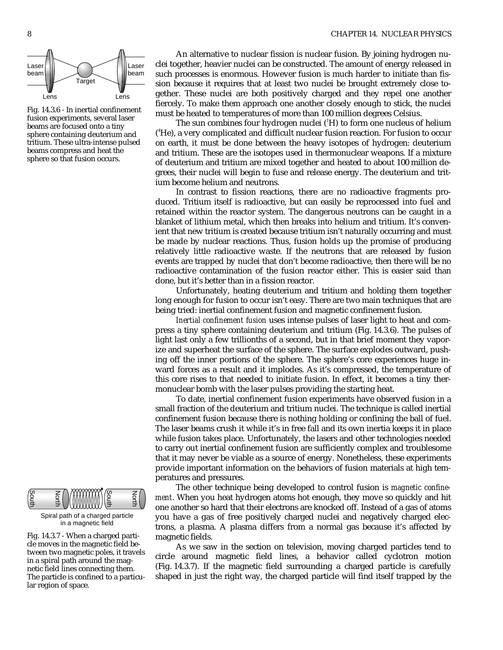

Fig. 14.3.6 - In inertial confinement fusion experiments, several laser beams are focused onto a tiny sphere containing deuterium and tritium. These ultra-intense pulsed beams compress and heat the sphere so that fusion occurs.



Spiral path of a charged particle in a magnetic field

Fig. 14.3.7 - When a charged particle moves in the magnetic field between two magnetic poles, it travels in a spiral path around the magnetic field lines connecting them. The particle is confined to a particular region of space.

An alternative to nuclear fission is nuclear fusion. By joining hydrogen nuclei together, heavier nuclei can be constructed. The amount of energy released in such processes is enormous. However fusion is much harder to initiate than fission because it requires that at least two nuclei be brought extremely close together. These nuclei are both positively charged and they repel one another fiercely. To make them approach one another closely enough to stick, the nuclei must be heated to temperatures of more than 100 million degrees Celsius.

The sun combines four hydrogen nuclei ('H) to form one nucleus of helium ( 4 He), a very complicated and difficult nuclear fusion reaction. For fusion to occur on earth, it must be done between the heavy isotopes of hydrogen: deuterium and tritium. These are the isotopes used in thermonuclear weapons. If a mixture of deuterium and tritium are mixed together and heated to about 100 million degrees, their nuclei will begin to fuse and release energy. The deuterium and tritium become helium and neutrons.

In contrast to fission reactions, there are no radioactive fragments produced. Tritium itself is radioactive, but can easily be reprocessed into fuel and retained within the reactor system. The dangerous neutrons can be caught in a blanket of lithium metal, which then breaks into helium and tritium. It's convenient that new tritium is created because tritium isn't naturally occurring and must be made by nuclear reactions. Thus, fusion holds up the promise of producing relatively little radioactive waste. If the neutrons that are released by fusion events are trapped by nuclei that don't become radioactive, then there will be no radioactive contamination of the fusion reactor either. This is easier said than done, but it's better than in a fission reactor.

Unfortunately, heating deuterium and tritium and holding them together long enough for fusion to occur isn't easy. There are two main techniques that are being tried: inertial confinement fusion and magnetic confinement fusion.

*Inertial confinement fusion* uses intense pulses of laser light to heat and compress a tiny sphere containing deuterium and tritium (Fig. 14.3.6). The pulses of light last only a few trillionths of a second, but in that brief moment they vaporize and superheat the surface of the sphere. The surface explodes outward, pushing off the inner portions of the sphere. The sphere's core experiences huge inward forces as a result and it implodes. As it's compressed, the temperature of this core rises to that needed to initiate fusion. In effect, it becomes a tiny thermonuclear bomb with the laser pulses providing the starting heat.

To date, inertial confinement fusion experiments have observed fusion in a small fraction of the deuterium and tritium nuclei. The technique is called inertial confinement fusion because there is nothing holding or confining the ball of fuel. The laser beams crush it while it's in free fall and its own inertia keeps it in place while fusion takes place. Unfortunately, the lasers and other technologies needed to carry out inertial confinement fusion are sufficiently complex and troublesome that it may never be viable as a source of energy. Nonetheless, these experiments provide important information on the behaviors of fusion materials at high temperatures and pressures.

The other technique being developed to control fusion is *magnetic confinement*. When you heat hydrogen atoms hot enough, they move so quickly and hit one another so hard that their electrons are knocked off. Instead of a gas of atoms you have a gas of free positively charged nuclei and negatively charged electrons, a plasma. A plasma differs from a normal gas because it's affected by magnetic fields.

As we saw in the section on television, moving charged particles tend to circle around magnetic field lines, a behavior called cyclotron motion (Fig. 14.3.7). If the magnetic field surrounding a charged particle is carefully shaped in just the right way, the charged particle will find itself trapped by the